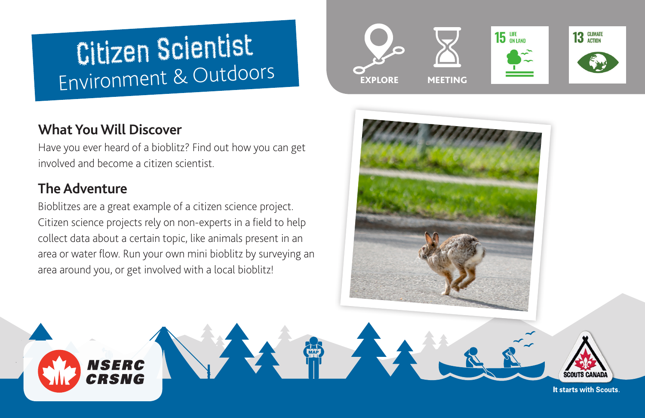# Citizen Scientist Environment & Outdoors

## **What You Will Discover**

**NSERC** CRSNG

Have you ever heard of a bioblitz? Find out how you can get involved and become a citizen scientist.

# **The Adventure**

Bioblitzes are a great example of a citizen science project. Citizen science projects rely on non-experts in a field to help collect data about a certain topic, like animals present in an area or water flow. Run your own mini bioblitz by surveying an area around you, or get involved with a local bioblitz!





It starts with Scouts.